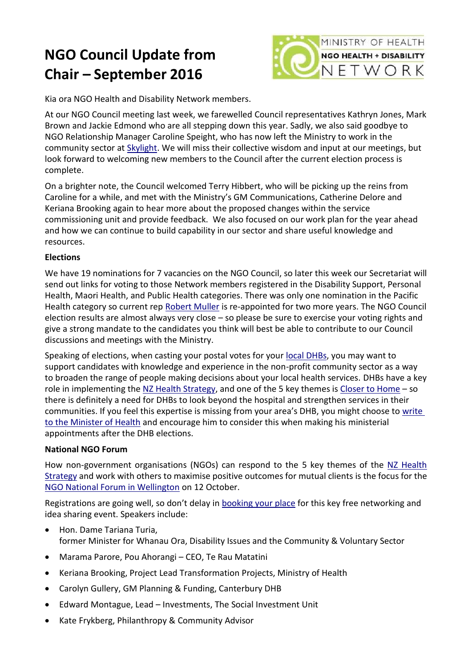## **NGO Council Update from Chair – September 2016**



Kia ora NGO Health and Disability Network members.

At our NGO Council meeting last week, we farewelled Council representatives Kathryn Jones, Mark Brown and Jackie Edmond who are all stepping down this year. Sadly, we also said goodbye to NGO Relationship Manager Caroline Speight, who has now left the Ministry to work in the community sector at [Skylight.](http://skylight.org.nz/) We will miss their collective wisdom and input at our meetings, but look forward to welcoming new members to the Council after the current election process is complete.

On a brighter note, the Council welcomed Terry Hibbert, who will be picking up the reins from Caroline for a while, and met with the Ministry's GM Communications, Catherine Delore and Keriana Brooking again to hear more about the proposed changes within the service commissioning unit and provide feedback. We also focused on our work plan for the year ahead and how we can continue to build capability in our sector and share useful knowledge and resources.

## **Elections**

We have 19 nominations for 7 vacancies on the NGO Council, so later this week our Secretariat will send out links for voting to those Network members registered in the Disability Support, Personal Health, Maori Health, and Public Health categories. There was only one nomination in the Pacific Health category so current rep [Robert Muller](http://ngo.health.govt.nz/about-us/elected-representatives#rmuller) is re-appointed for two more years. The NGO Council election results are almost always very close – so please be sure to exercise your voting rights and give a strong mandate to the candidates you think will best be able to contribute to our Council discussions and meetings with the Ministry.

Speaking of elections, when casting your postal votes for your [local DHBs,](http://www.health.govt.nz/new-zealand-health-system/my-dhb) you may want to support candidates with knowledge and experience in the non-profit community sector as a way to broaden the range of people making decisions about your local health services. DHBs have a key role in implementing the [NZ Health Strategy,](http://www.health.govt.nz/new-zealand-health-system/new-zealand-health-strategy-roadmap-actions-2016/section-action-areas/closer-home) and one of the 5 key themes is [Closer to Home](http://www.health.govt.nz/new-zealand-health-system/new-zealand-health-strategy-roadmap-actions-2016/section-action-areas/closer-home) - so there is definitely a need for DHBs to look beyond the hospital and strengthen services in their communities. If you feel this expertise is missing from your area's DHB, you might choose to write [to the Minister of Health](https://www.beehive.govt.nz/minister/jonathan-coleman) and encourage him to consider this when making his ministerial appointments after the DHB elections.

## **National NGO Forum**

How non-government organisations (NGOs) can respond to the 5 key themes of the [NZ Health](http://www.health.govt.nz/new-zealand-health-system/new-zealand-health-strategy-roadmap-actions-2016/section-action-areas/closer-home)  [Strategy](http://www.health.govt.nz/new-zealand-health-system/new-zealand-health-strategy-roadmap-actions-2016/section-action-areas/closer-home) and work with others to maximise positive outcomes for mutual clients is the focus for the [NGO National Forum in Wellington](http://ngo.health.govt.nz/what-we-do/ngo%E2%80%93moh-forums/moh%E2%80%93ngo-forum-october-2016-wellington) on 12 October.

Registrations are going well, so don't delay in [booking your place](http://mohngonationalforum2016.eventbrite.co.nz/) for this key free networking and idea sharing event. Speakers include:

- Hon. Dame Tariana Turia, former Minister for Whanau Ora, Disability Issues and the Community & Voluntary Sector
- Marama Parore, Pou Ahorangi CEO, Te Rau Matatini
- Keriana Brooking, Project Lead Transformation Projects, Ministry of Health
- Carolyn Gullery, GM Planning & Funding, Canterbury DHB
- Edward Montague, Lead Investments, The Social Investment Unit
- Kate Frykberg, Philanthropy & Community Advisor